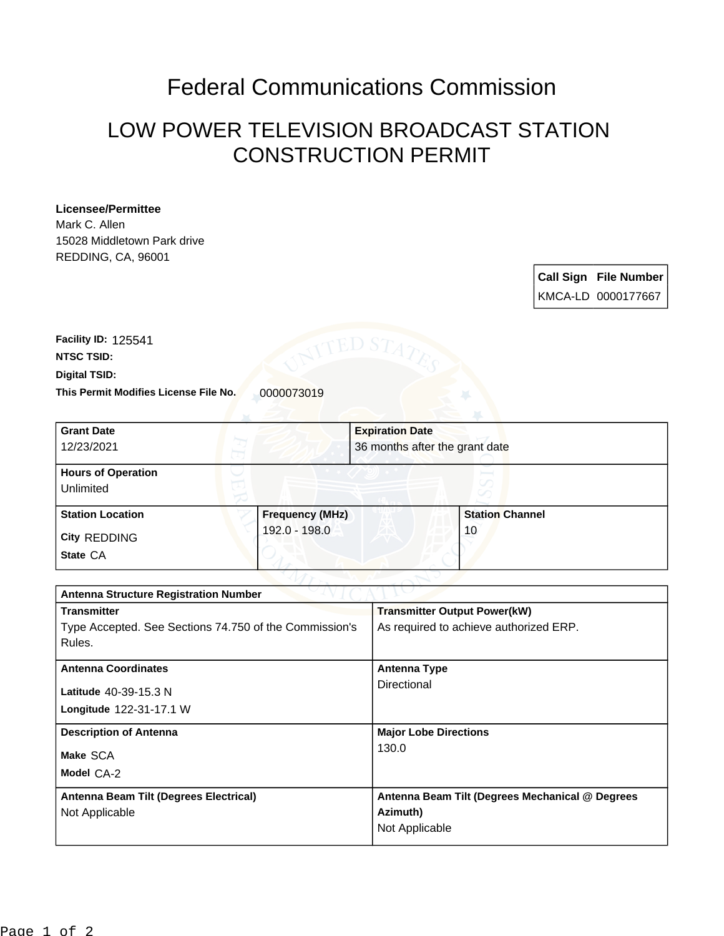## Federal Communications Commission

## LOW POWER TELEVISION BROADCAST STATION CONSTRUCTION PERMIT

## **Licensee/Permittee**

Mark C. Allen 15028 Middletown Park drive REDDING, CA, 96001

> **Call Sign File Number** KMCA-LD 0000177667

This Permit Modifies License File No. 0000073019 **Digital TSID: NTSC TSID: Facility ID:** 125541

| <b>Grant Date</b><br>12/23/2021        |                        | <b>Expiration Date</b><br>36 months after the grant date |  |
|----------------------------------------|------------------------|----------------------------------------------------------|--|
| <b>Hours of Operation</b><br>Unlimited |                        | v                                                        |  |
| <b>Station Location</b>                | <b>Frequency (MHz)</b> | <b>Station Channel</b>                                   |  |
| City REDDING<br>State CA               | 192.0 - 198.0          | 10                                                       |  |

| <b>Antenna Structure Registration Number</b>           |                                                 |  |  |
|--------------------------------------------------------|-------------------------------------------------|--|--|
| <b>Transmitter</b>                                     | <b>Transmitter Output Power(kW)</b>             |  |  |
| Type Accepted. See Sections 74.750 of the Commission's | As required to achieve authorized ERP.          |  |  |
| Rules.                                                 |                                                 |  |  |
| <b>Antenna Coordinates</b>                             | <b>Antenna Type</b>                             |  |  |
| Latitude 40-39-15.3 N                                  | Directional                                     |  |  |
| Longitude 122-31-17.1 W                                |                                                 |  |  |
| <b>Description of Antenna</b>                          | <b>Major Lobe Directions</b>                    |  |  |
| Make SCA                                               | 130.0                                           |  |  |
| Model CA-2                                             |                                                 |  |  |
| Antenna Beam Tilt (Degrees Electrical)                 | Antenna Beam Tilt (Degrees Mechanical @ Degrees |  |  |
| Not Applicable                                         | Azimuth)                                        |  |  |
|                                                        | Not Applicable                                  |  |  |